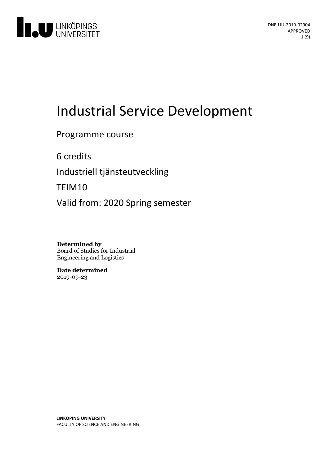

# Industrial Service Development

Programme course

6 credits

Industriell tjänsteutveckling

TEIM10

Valid from: 2020 Spring semester

**Determined by** Board of Studies for Industrial Engineering and Logistics

**Date determined** 2019-09-23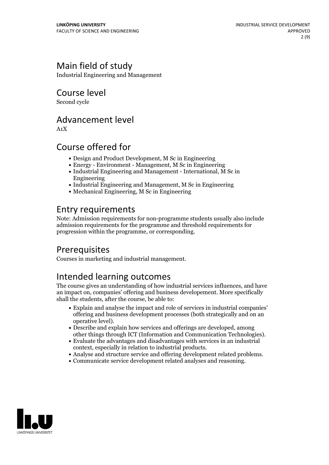# Main field of study

Industrial Engineering and Management

Course level

Second cycle

# Advancement level

A1X

# Course offered for

- Design and Product Development, M Sc in Engineering
- Energy Environment Management, M Sc in Engineering
- Industrial Engineering and Management International, M Sc in Engineering
- Industrial Engineering and Management, M Sc in Engineering
- Mechanical Engineering, M Sc in Engineering

# Entry requirements

Note: Admission requirements for non-programme students usually also include admission requirements for the programme and threshold requirements for progression within the programme, or corresponding.

# Prerequisites

Courses in marketing and industrial management.

# Intended learning outcomes

The course gives an understanding of how industrial services influences, and have an impact on, companies' offering and business developement. More specifically shall the students, after the course, be able to:

- Explain and analyse the impact and role of services in industrial companies' offering and business development processes (both strategically and on an operative level).<br>• Describe and explain how services and offerings are developed, among
- 
- other things through ICT (Information and Communication Technologies).<br>• Evaluate the advantages and disadvantages with services in an industrial context. especially in relation to industrial products.
- Analyse and structure service and offering development related problems.<br>- Communicate service development related analyses and reasoning.
- 

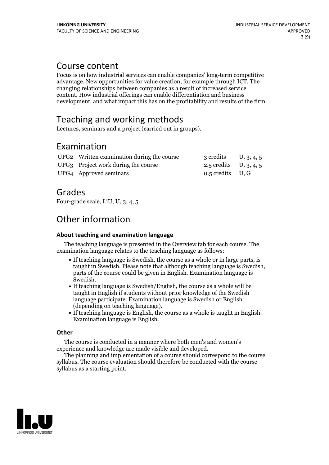### Course content

Focus is on how industrial services can enable companies' long-term competitive advantage. New opportunities for value creation, for example through ICT. The changing relationships between companies as a result of increased service content. How industrial offerings can enable differentiation and business development, and what impact this has on the profitability and results of the firm.

# Teaching and working methods

Lectures, seminars and a project (carried out in groups).

### Examination

| UPG2 Written examination during the course | 3 credits $U, 3, 4, 5$   |  |
|--------------------------------------------|--------------------------|--|
| UPG3 Project work during the course        | 2.5 credits $U, 3, 4, 5$ |  |
| UPG4 Approved seminars                     | $0.5$ credits U, G       |  |

### Grades

Four-grade scale, LiU, U, 3, 4, 5

# Other information

#### **About teaching and examination language**

The teaching language is presented in the Overview tab for each course. The examination language relates to the teaching language as follows:

- If teaching language is Swedish, the course as a whole or in large parts, is taught in Swedish. Please note that although teaching language is Swedish, parts of the course could be given in English. Examination language is
- If teaching language is Swedish/English, the course as a whole will be taught in English if students without prior knowledge of the Swedish language participate. Examination language is Swedish or English
- $\bullet$  If teaching language is English, the course as a whole is taught in English. Examination language is English.

#### **Other**

The course is conducted in a manner where both men's and women's

experience and knowledge are made visible and developed. The planning and implementation of <sup>a</sup> course should correspond to the course syllabus. The course evaluation should therefore be conducted with the course syllabus as a starting point.

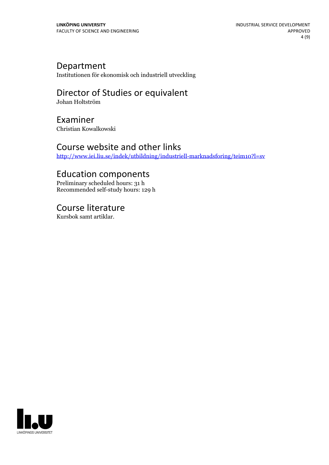### Department

Institutionen för ekonomisk och industriell utveckling

# Director of Studies or equivalent

Johan Holtström

# Examiner

Christian Kowalkowski

### Course website and other links

<http://www.iei.liu.se/indek/utbildning/industriell-marknadsforing/teim10?l=sv>

### Education components

Preliminary scheduled hours: 31 h Recommended self-study hours: 129 h

Course literature Kursbok samt artiklar.

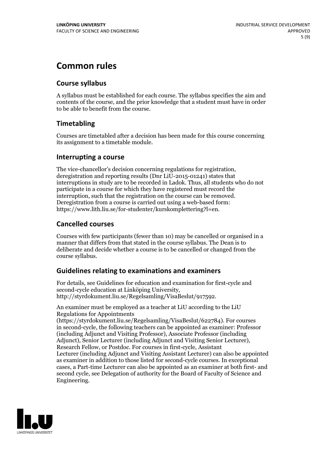# **Common rules**

### **Course syllabus**

A syllabus must be established for each course. The syllabus specifies the aim and contents of the course, and the prior knowledge that a student must have in order to be able to benefit from the course.

### **Timetabling**

Courses are timetabled after a decision has been made for this course concerning its assignment to a timetable module.

#### **Interrupting a course**

The vice-chancellor's decision concerning regulations for registration, deregistration and reporting results (Dnr LiU-2015-01241) states that interruptions in study are to be recorded in Ladok. Thus, all students who do not participate in a course for which they have registered must record the interruption, such that the registration on the course can be removed. Deregistration from <sup>a</sup> course is carried outusing <sup>a</sup> web-based form: https://www.lith.liu.se/for-studenter/kurskomplettering?l=en.

### **Cancelled courses**

Courses with few participants (fewer than 10) may be cancelled or organised in a manner that differs from that stated in the course syllabus. The Dean is to deliberate and decide whether a course is to be cancelled or changed from the course syllabus.

### **Guidelines relatingto examinations and examiners**

For details, see Guidelines for education and examination for first-cycle and second-cycle education at Linköping University, http://styrdokument.liu.se/Regelsamling/VisaBeslut/917592.

An examiner must be employed as a teacher at LiU according to the LiU Regulations for Appointments

(https://styrdokument.liu.se/Regelsamling/VisaBeslut/622784). For courses in second-cycle, the following teachers can be appointed as examiner: Professor (including Adjunct and Visiting Professor), Associate Professor (including Adjunct), Senior Lecturer (including Adjunct and Visiting Senior Lecturer), Research Fellow, or Postdoc. For courses in first-cycle, Assistant Lecturer (including Adjunct and Visiting Assistant Lecturer) can also be appointed as examiner in addition to those listed for second-cycle courses. In exceptional cases, a Part-time Lecturer can also be appointed as an examiner at both first- and second cycle, see Delegation of authority for the Board of Faculty of Science and Engineering.

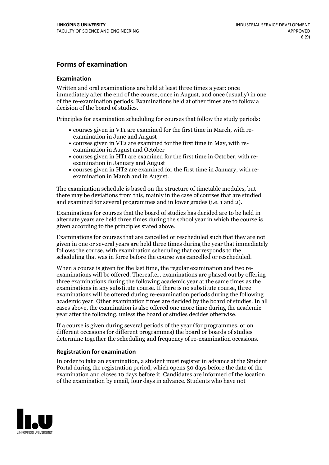#### **Forms of examination**

#### **Examination**

Written and oral examinations are held at least three times a year: once immediately after the end of the course, once in August, and once (usually) in one of the re-examination periods. Examinations held at other times are to follow a decision of the board of studies.

Principles for examination scheduling for courses that follow the study periods:

- courses given in VT1 are examined for the first time in March, with re-examination in June and August
- courses given in VT2 are examined for the first time in May, with re-examination in August and October
- courses given in HT1 are examined for the first time in October, with re-examination in January and August
- courses given in HT2 are examined for the first time in January, with re-examination in March and in August.

The examination schedule is based on the structure of timetable modules, but there may be deviations from this, mainly in the case of courses that are studied and examined for several programmes and in lower grades (i.e. 1 and 2).

Examinations for courses that the board of studies has decided are to be held in alternate years are held three times during the school year in which the course is given according to the principles stated above.

Examinations for courses that are cancelled orrescheduled such that they are not given in one or several years are held three times during the year that immediately follows the course, with examination scheduling that corresponds to the scheduling that was in force before the course was cancelled or rescheduled.

When a course is given for the last time, the regular examination and two re-<br>examinations will be offered. Thereafter, examinations are phased out by offering three examinations during the following academic year at the same times as the examinations in any substitute course. If there is no substitute course, three examinations will be offered during re-examination periods during the following academic year. Other examination times are decided by the board of studies. In all cases above, the examination is also offered one more time during the academic year after the following, unless the board of studies decides otherwise.

If a course is given during several periods of the year (for programmes, or on different occasions for different programmes) the board or boards of studies determine together the scheduling and frequency of re-examination occasions.

#### **Registration for examination**

In order to take an examination, a student must register in advance at the Student Portal during the registration period, which opens 30 days before the date of the examination and closes 10 days before it. Candidates are informed of the location of the examination by email, four days in advance. Students who have not

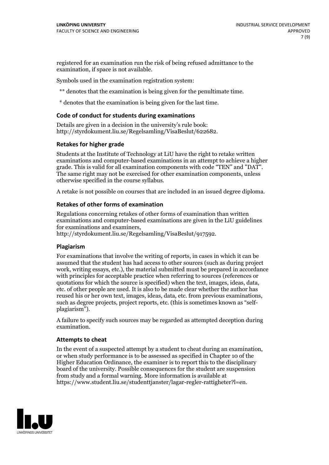registered for an examination run the risk of being refused admittance to the examination, if space is not available.

Symbols used in the examination registration system:

\*\* denotes that the examination is being given for the penultimate time.

\* denotes that the examination is being given for the last time.

#### **Code of conduct for students during examinations**

Details are given in a decision in the university's rule book: http://styrdokument.liu.se/Regelsamling/VisaBeslut/622682.

#### **Retakes for higher grade**

Students at the Institute of Technology at LiU have the right to retake written examinations and computer-based examinations in an attempt to achieve a higher grade. This is valid for all examination components with code "TEN" and "DAT". The same right may not be exercised for other examination components, unless otherwise specified in the course syllabus.

A retake is not possible on courses that are included in an issued degree diploma.

#### **Retakes of other forms of examination**

Regulations concerning retakes of other forms of examination than written examinations and computer-based examinations are given in the LiU guidelines

http://styrdokument.liu.se/Regelsamling/VisaBeslut/917592.

#### **Plagiarism**

For examinations that involve the writing of reports, in cases in which it can be assumed that the student has had access to other sources (such as during project work, writing essays, etc.), the material submitted must be prepared in accordance with principles for acceptable practice when referring to sources (references or quotations for which the source is specified) when the text, images, ideas, data,  $\vec{e}$  etc. of other people are used. It is also to be made clear whether the author has reused his or her own text, images, ideas, data, etc. from previous examinations, such as degree projects, project reports, etc. (this is sometimes known as "self- plagiarism").

A failure to specify such sources may be regarded as attempted deception during examination.

#### **Attempts to cheat**

In the event of <sup>a</sup> suspected attempt by <sup>a</sup> student to cheat during an examination, or when study performance is to be assessed as specified in Chapter <sup>10</sup> of the Higher Education Ordinance, the examiner is to report this to the disciplinary board of the university. Possible consequences for the student are suspension from study and a formal warning. More information is available at https://www.student.liu.se/studenttjanster/lagar-regler-rattigheter?l=en.

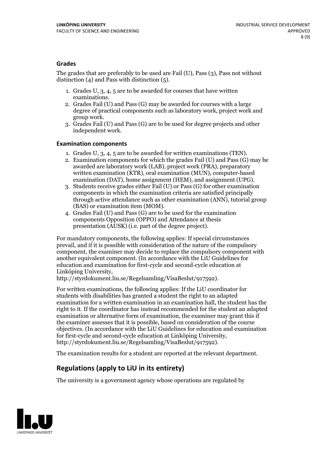#### **Grades**

The grades that are preferably to be used are Fail (U), Pass (3), Pass not without distinction  $(4)$  and Pass with distinction  $(5)$ .

- 1. Grades U, 3, 4, 5 are to be awarded for courses that have written
- examinations. 2. Grades Fail (U) and Pass (G) may be awarded for courses with <sup>a</sup> large degree of practical components such as laboratory work, project work and group work. 3. Grades Fail (U) and Pass (G) are to be used for degree projects and other
- independent work.

#### **Examination components**

- 
- 1. Grades U, 3, 4, <sup>5</sup> are to be awarded for written examinations (TEN). 2. Examination components for which the grades Fail (U) and Pass (G) may be awarded are laboratory work (LAB), project work (PRA), preparatory written examination (KTR), oral examination (MUN), computer-based
- examination (DAT), home assignment (HEM), and assignment (UPG). 3. Students receive grades either Fail (U) or Pass (G) for other examination components in which the examination criteria are satisfied principally through active attendance such as other examination (ANN), tutorial group (BAS) or examination item (MOM). 4. Grades Fail (U) and Pass (G) are to be used for the examination
- components Opposition (OPPO) and Attendance at thesis presentation (AUSK) (i.e. part of the degree project).

For mandatory components, the following applies: If special circumstances prevail, and if it is possible with consideration of the nature of the compulsory component, the examiner may decide to replace the compulsory component with another equivalent component. (In accordance with the LiU Guidelines for education and examination for first-cycle and second-cycle education at Linköping University, http://styrdokument.liu.se/Regelsamling/VisaBeslut/917592).

For written examinations, the following applies: If the LiU coordinator for students with disabilities has granted a student the right to an adapted examination for a written examination in an examination hall, the student has the right to it. If the coordinator has instead recommended for the student an adapted examination or alternative form of examination, the examiner may grant this if the examiner assesses that it is possible, based on consideration of the course objectives. (In accordance with the LiU Guidelines for education and examination for first-cycle and second-cycle education at Linköping University, http://styrdokument.liu.se/Regelsamling/VisaBeslut/917592).

The examination results for a student are reported at the relevant department.

### **Regulations (applyto LiU in its entirety)**

The university is a government agency whose operations are regulated by